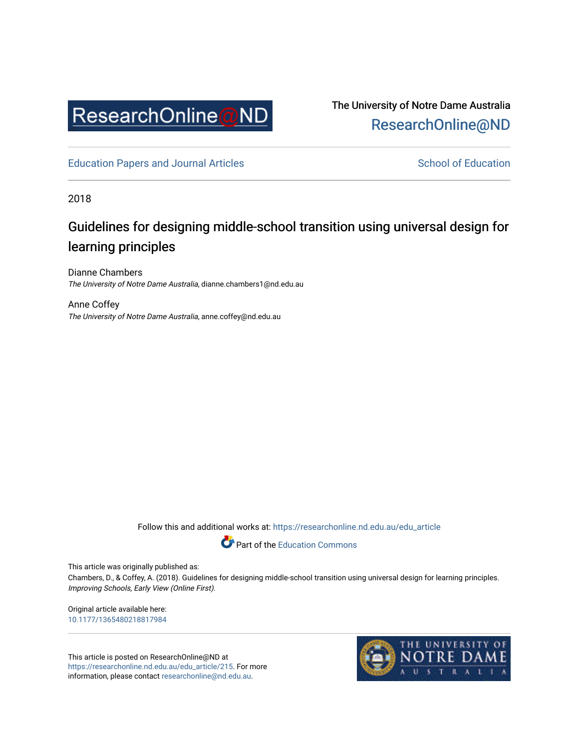

## The University of Notre Dame Australia [ResearchOnline@ND](https://researchonline.nd.edu.au/)

[Education Papers and Journal Articles](https://researchonline.nd.edu.au/edu_article) [School of Education](https://researchonline.nd.edu.au/edu) School of Education

2018

# Guidelines for designing middle-school transition using universal design for learning principles

Dianne Chambers The University of Notre Dame Australia, dianne.chambers1@nd.edu.au

Anne Coffey The University of Notre Dame Australia, anne.coffey@nd.edu.au

Follow this and additional works at: [https://researchonline.nd.edu.au/edu\\_article](https://researchonline.nd.edu.au/edu_article?utm_source=researchonline.nd.edu.au%2Fedu_article%2F215&utm_medium=PDF&utm_campaign=PDFCoverPages)



This article was originally published as:

Chambers, D., & Coffey, A. (2018). Guidelines for designing middle-school transition using universal design for learning principles. Improving Schools, Early View (Online First).

Original article available here: [10.1177/1365480218817984](https://doi.org/10.1177/1365480218817984)

This article is posted on ResearchOnline@ND at [https://researchonline.nd.edu.au/edu\\_article/215](https://researchonline.nd.edu.au/edu_article/215). For more information, please contact [researchonline@nd.edu.au.](mailto:researchonline@nd.edu.au)

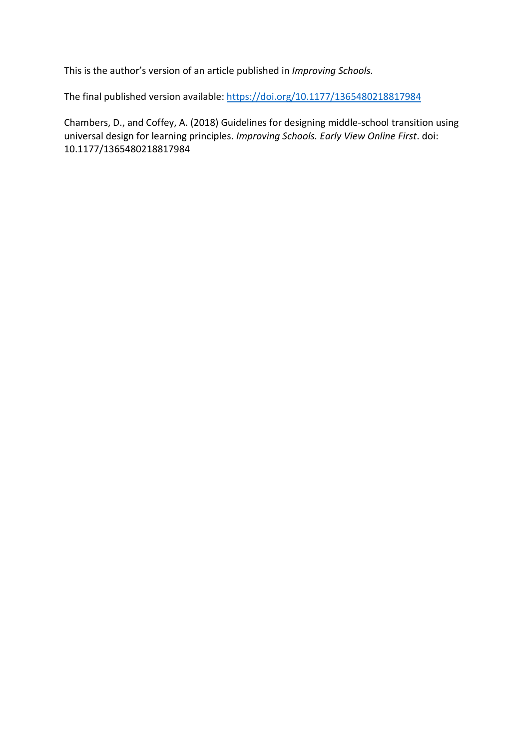This is the author's version of an article published in *Improving Schools.*

The final published version available: <https://doi.org/10.1177/1365480218817984>

Chambers, D., and Coffey, A. (2018) Guidelines for designing middle-school transition using universal design for learning principles. *Improving Schools. Early View Online First*. doi: 10.1177/1365480218817984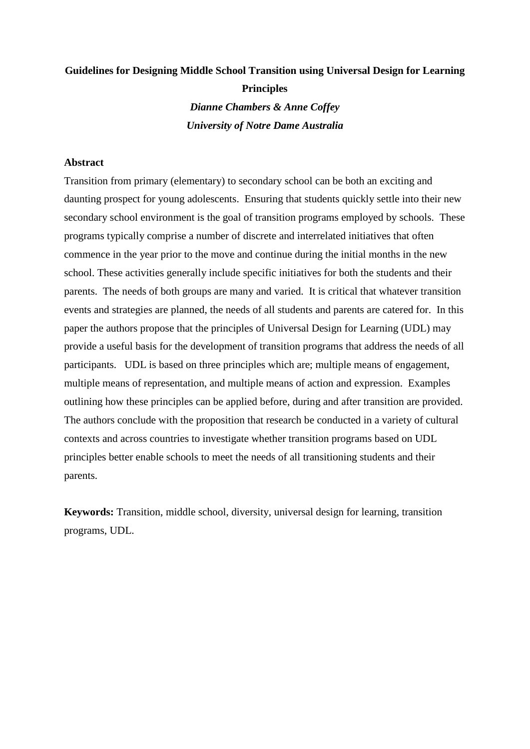## **Guidelines for Designing Middle School Transition using Universal Design for Learning Principles** *Dianne Chambers & Anne Coffey*

*University of Notre Dame Australia*

#### **Abstract**

Transition from primary (elementary) to secondary school can be both an exciting and daunting prospect for young adolescents. Ensuring that students quickly settle into their new secondary school environment is the goal of transition programs employed by schools. These programs typically comprise a number of discrete and interrelated initiatives that often commence in the year prior to the move and continue during the initial months in the new school. These activities generally include specific initiatives for both the students and their parents. The needs of both groups are many and varied. It is critical that whatever transition events and strategies are planned, the needs of all students and parents are catered for. In this paper the authors propose that the principles of Universal Design for Learning (UDL) may provide a useful basis for the development of transition programs that address the needs of all participants. UDL is based on three principles which are; multiple means of engagement, multiple means of representation, and multiple means of action and expression. Examples outlining how these principles can be applied before, during and after transition are provided. The authors conclude with the proposition that research be conducted in a variety of cultural contexts and across countries to investigate whether transition programs based on UDL principles better enable schools to meet the needs of all transitioning students and their parents.

**Keywords:** Transition, middle school, diversity, universal design for learning, transition programs, UDL.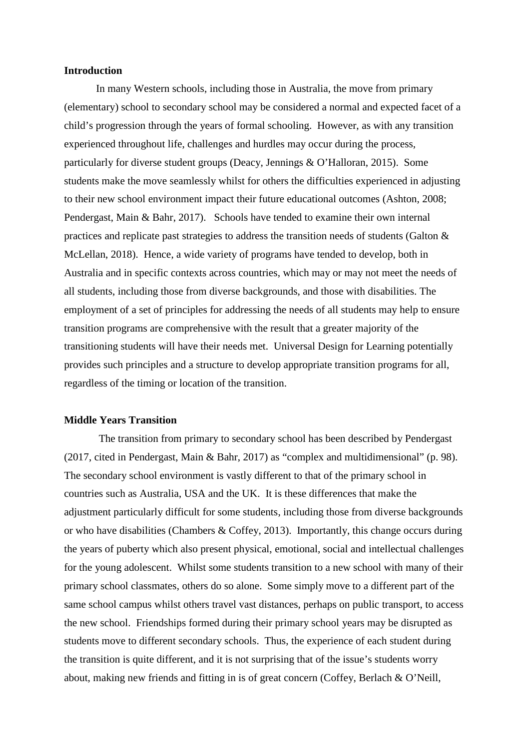#### **Introduction**

In many Western schools, including those in Australia, the move from primary (elementary) school to secondary school may be considered a normal and expected facet of a child's progression through the years of formal schooling. However, as with any transition experienced throughout life, challenges and hurdles may occur during the process, particularly for diverse student groups (Deacy, Jennings & O'Halloran, 2015). Some students make the move seamlessly whilst for others the difficulties experienced in adjusting to their new school environment impact their future educational outcomes (Ashton, 2008; Pendergast, Main & Bahr, 2017). Schools have tended to examine their own internal practices and replicate past strategies to address the transition needs of students (Galton & McLellan, 2018). Hence, a wide variety of programs have tended to develop, both in Australia and in specific contexts across countries, which may or may not meet the needs of all students, including those from diverse backgrounds, and those with disabilities. The employment of a set of principles for addressing the needs of all students may help to ensure transition programs are comprehensive with the result that a greater majority of the transitioning students will have their needs met. Universal Design for Learning potentially provides such principles and a structure to develop appropriate transition programs for all, regardless of the timing or location of the transition.

#### **Middle Years Transition**

The transition from primary to secondary school has been described by Pendergast (2017, cited in Pendergast, Main & Bahr, 2017) as "complex and multidimensional" (p. 98). The secondary school environment is vastly different to that of the primary school in countries such as Australia, USA and the UK. It is these differences that make the adjustment particularly difficult for some students, including those from diverse backgrounds or who have disabilities (Chambers & Coffey, 2013). Importantly, this change occurs during the years of puberty which also present physical, emotional, social and intellectual challenges for the young adolescent. Whilst some students transition to a new school with many of their primary school classmates, others do so alone. Some simply move to a different part of the same school campus whilst others travel vast distances, perhaps on public transport, to access the new school. Friendships formed during their primary school years may be disrupted as students move to different secondary schools. Thus, the experience of each student during the transition is quite different, and it is not surprising that of the issue's students worry about, making new friends and fitting in is of great concern (Coffey, Berlach & O'Neill,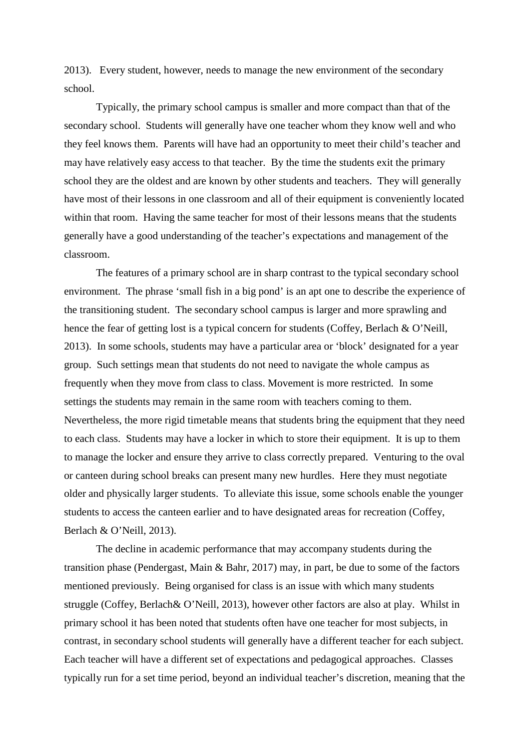2013). Every student, however, needs to manage the new environment of the secondary school.

Typically, the primary school campus is smaller and more compact than that of the secondary school. Students will generally have one teacher whom they know well and who they feel knows them. Parents will have had an opportunity to meet their child's teacher and may have relatively easy access to that teacher. By the time the students exit the primary school they are the oldest and are known by other students and teachers. They will generally have most of their lessons in one classroom and all of their equipment is conveniently located within that room. Having the same teacher for most of their lessons means that the students generally have a good understanding of the teacher's expectations and management of the classroom.

The features of a primary school are in sharp contrast to the typical secondary school environment. The phrase 'small fish in a big pond' is an apt one to describe the experience of the transitioning student. The secondary school campus is larger and more sprawling and hence the fear of getting lost is a typical concern for students (Coffey, Berlach & O'Neill, 2013). In some schools, students may have a particular area or 'block' designated for a year group. Such settings mean that students do not need to navigate the whole campus as frequently when they move from class to class. Movement is more restricted. In some settings the students may remain in the same room with teachers coming to them. Nevertheless, the more rigid timetable means that students bring the equipment that they need to each class. Students may have a locker in which to store their equipment. It is up to them to manage the locker and ensure they arrive to class correctly prepared. Venturing to the oval or canteen during school breaks can present many new hurdles. Here they must negotiate older and physically larger students. To alleviate this issue, some schools enable the younger students to access the canteen earlier and to have designated areas for recreation (Coffey, Berlach & O'Neill, 2013).

The decline in academic performance that may accompany students during the transition phase (Pendergast, Main & Bahr, 2017) may, in part, be due to some of the factors mentioned previously. Being organised for class is an issue with which many students struggle (Coffey, Berlach& O'Neill, 2013), however other factors are also at play. Whilst in primary school it has been noted that students often have one teacher for most subjects, in contrast, in secondary school students will generally have a different teacher for each subject. Each teacher will have a different set of expectations and pedagogical approaches. Classes typically run for a set time period, beyond an individual teacher's discretion, meaning that the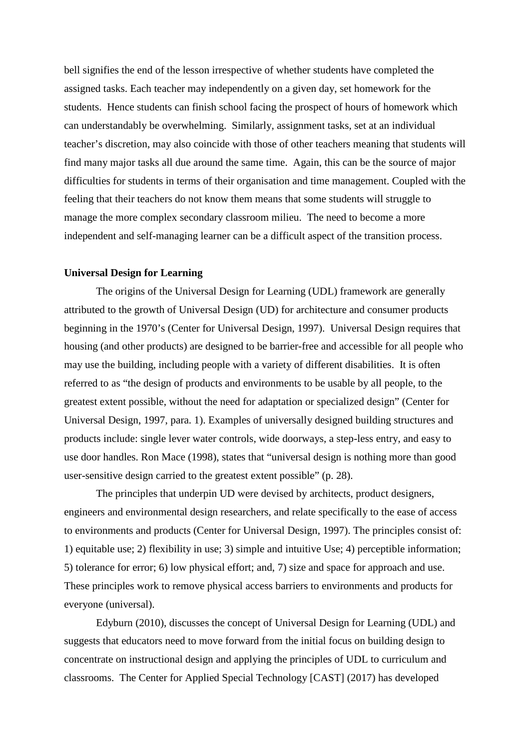bell signifies the end of the lesson irrespective of whether students have completed the assigned tasks. Each teacher may independently on a given day, set homework for the students. Hence students can finish school facing the prospect of hours of homework which can understandably be overwhelming. Similarly, assignment tasks, set at an individual teacher's discretion, may also coincide with those of other teachers meaning that students will find many major tasks all due around the same time. Again, this can be the source of major difficulties for students in terms of their organisation and time management. Coupled with the feeling that their teachers do not know them means that some students will struggle to manage the more complex secondary classroom milieu. The need to become a more independent and self-managing learner can be a difficult aspect of the transition process.

#### **Universal Design for Learning**

The origins of the Universal Design for Learning (UDL) framework are generally attributed to the growth of Universal Design (UD) for architecture and consumer products beginning in the 1970's (Center for Universal Design, 1997). Universal Design requires that housing (and other products) are designed to be barrier-free and accessible for all people who may use the building, including people with a variety of different disabilities. It is often referred to as "the design of products and environments to be usable by all people, to the greatest extent possible, without the need for adaptation or specialized design" (Center for Universal Design, 1997, para. 1). Examples of universally designed building structures and products include: single lever water controls, wide doorways, a step-less entry, and easy to use door handles. Ron Mace (1998), states that "universal design is nothing more than good user-sensitive design carried to the greatest extent possible" (p. 28).

The principles that underpin UD were devised by architects, product designers, engineers and environmental design researchers, and relate specifically to the ease of access to environments and products (Center for Universal Design, 1997). The principles consist of: 1) equitable use; 2) flexibility in use; 3) simple and intuitive Use; 4) perceptible information; 5) tolerance for error; 6) low physical effort; and, 7) size and space for approach and use. These principles work to remove physical access barriers to environments and products for everyone (universal).

Edyburn (2010), discusses the concept of Universal Design for Learning (UDL) and suggests that educators need to move forward from the initial focus on building design to concentrate on instructional design and applying the principles of UDL to curriculum and classrooms. The Center for Applied Special Technology [CAST] (2017) has developed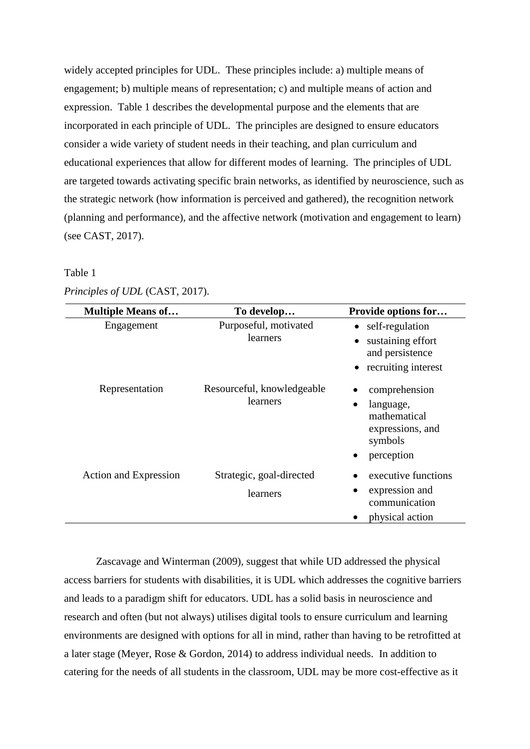widely accepted principles for UDL. These principles include: a) multiple means of engagement; b) multiple means of representation; c) and multiple means of action and expression. Table 1 describes the developmental purpose and the elements that are incorporated in each principle of UDL. The principles are designed to ensure educators consider a wide variety of student needs in their teaching, and plan curriculum and educational experiences that allow for different modes of learning. The principles of UDL are targeted towards activating specific brain networks, as identified by neuroscience, such as the strategic network (how information is perceived and gathered), the recognition network (planning and performance), and the affective network (motivation and engagement to learn) (see CAST, 2017).

#### Table 1

| <b>Multiple Means of</b> | To develop                             | Provide options for                                                                                               |
|--------------------------|----------------------------------------|-------------------------------------------------------------------------------------------------------------------|
| Engagement               | Purposeful, motivated<br>learners      | • self-regulation<br>sustaining effort<br>and persistence<br>recruiting interest                                  |
| Representation           | Resourceful, knowledgeable<br>learners | comprehension<br>language,<br>$\bullet$<br>mathematical<br>expressions, and<br>symbols<br>perception<br>$\bullet$ |
| Action and Expression    | Strategic, goal-directed<br>learners   | executive functions<br>expression and<br>communication<br>physical action<br>$\bullet$                            |

*Principles of UDL* (CAST, 2017).

Zascavage and Winterman (2009), suggest that while UD addressed the physical access barriers for students with disabilities, it is UDL which addresses the cognitive barriers and leads to a paradigm shift for educators. UDL has a solid basis in neuroscience and research and often (but not always) utilises digital tools to ensure curriculum and learning environments are designed with options for all in mind, rather than having to be retrofitted at a later stage (Meyer, Rose & Gordon, 2014) to address individual needs. In addition to catering for the needs of all students in the classroom, UDL may be more cost-effective as it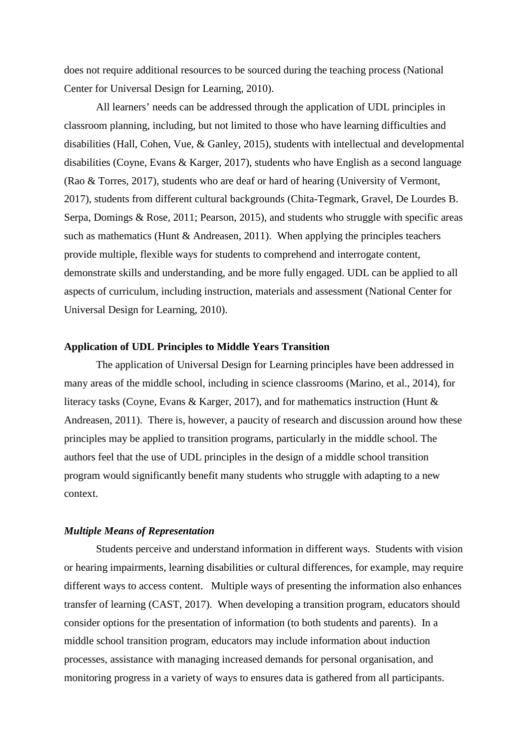does not require additional resources to be sourced during the teaching process (National Center for Universal Design for Learning, 2010).

All learners' needs can be addressed through the application of UDL principles in classroom planning, including, but not limited to those who have learning difficulties and disabilities (Hall, Cohen, Vue, & Ganley, 2015), students with intellectual and developmental disabilities (Coyne, Evans & Karger, 2017), students who have English as a second language (Rao & Torres, 2017), students who are deaf or hard of hearing (University of Vermont, 2017), students from different cultural backgrounds (Chita-Tegmark, Gravel, De Lourdes B. Serpa, Domings & Rose, 2011; Pearson, 2015), and students who struggle with specific areas such as mathematics (Hunt & Andreasen, 2011). When applying the principles teachers provide multiple, flexible ways for students to comprehend and interrogate content, demonstrate skills and understanding, and be more fully engaged. UDL can be applied to all aspects of curriculum, including instruction, materials and assessment (National Center for Universal Design for Learning, 2010).

#### **Application of UDL Principles to Middle Years Transition**

The application of Universal Design for Learning principles have been addressed in many areas of the middle school, including in science classrooms (Marino, et al., 2014), for literacy tasks (Coyne, Evans & Karger, 2017), and for mathematics instruction (Hunt & Andreasen, 2011). There is, however, a paucity of research and discussion around how these principles may be applied to transition programs, particularly in the middle school. The authors feel that the use of UDL principles in the design of a middle school transition program would significantly benefit many students who struggle with adapting to a new context.

#### *Multiple Means of Representation*

Students perceive and understand information in different ways. Students with vision or hearing impairments, learning disabilities or cultural differences, for example, may require different ways to access content. Multiple ways of presenting the information also enhances transfer of learning (CAST, 2017). When developing a transition program, educators should consider options for the presentation of information (to both students and parents). In a middle school transition program, educators may include information about induction processes, assistance with managing increased demands for personal organisation, and monitoring progress in a variety of ways to ensures data is gathered from all participants.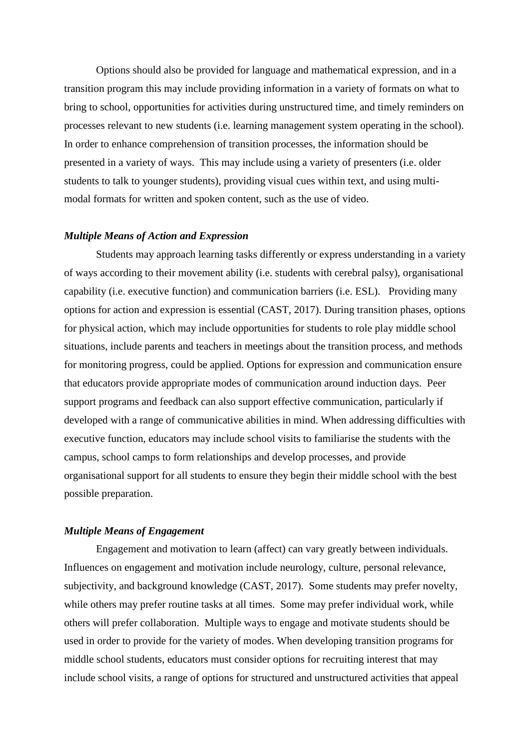Options should also be provided for language and mathematical expression, and in a transition program this may include providing information in a variety of formats on what to bring to school, opportunities for activities during unstructured time, and timely reminders on processes relevant to new students (i.e. learning management system operating in the school). In order to enhance comprehension of transition processes, the information should be presented in a variety of ways. This may include using a variety of presenters (i.e. older students to talk to younger students), providing visual cues within text, and using multimodal formats for written and spoken content, such as the use of video.

#### *Multiple Means of Action and Expression*

Students may approach learning tasks differently or express understanding in a variety of ways according to their movement ability (i.e. students with cerebral palsy), organisational capability (i.e. executive function) and communication barriers (i.e. ESL). Providing many options for action and expression is essential (CAST, 2017). During transition phases, options for physical action, which may include opportunities for students to role play middle school situations, include parents and teachers in meetings about the transition process, and methods for monitoring progress, could be applied. Options for expression and communication ensure that educators provide appropriate modes of communication around induction days. Peer support programs and feedback can also support effective communication, particularly if developed with a range of communicative abilities in mind. When addressing difficulties with executive function, educators may include school visits to familiarise the students with the campus, school camps to form relationships and develop processes, and provide organisational support for all students to ensure they begin their middle school with the best possible preparation.

#### *Multiple Means of Engagement*

Engagement and motivation to learn (affect) can vary greatly between individuals. Influences on engagement and motivation include neurology, culture, personal relevance, subjectivity, and background knowledge (CAST, 2017). Some students may prefer novelty, while others may prefer routine tasks at all times. Some may prefer individual work, while others will prefer collaboration. Multiple ways to engage and motivate students should be used in order to provide for the variety of modes. When developing transition programs for middle school students, educators must consider options for recruiting interest that may include school visits, a range of options for structured and unstructured activities that appeal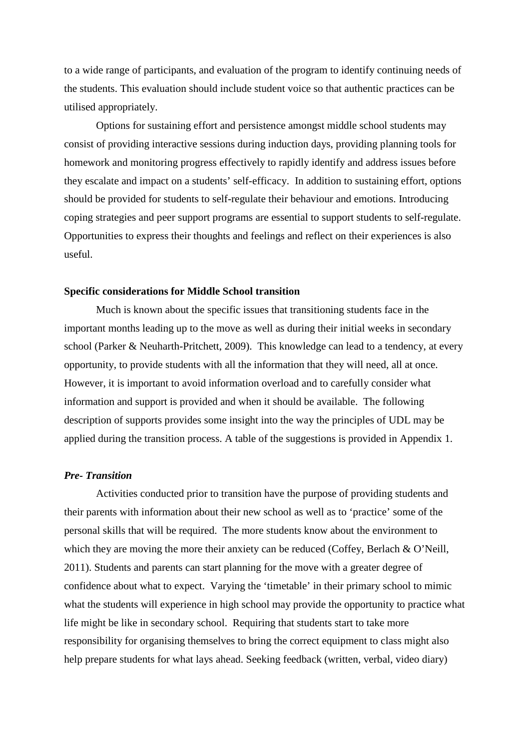to a wide range of participants, and evaluation of the program to identify continuing needs of the students. This evaluation should include student voice so that authentic practices can be utilised appropriately.

Options for sustaining effort and persistence amongst middle school students may consist of providing interactive sessions during induction days, providing planning tools for homework and monitoring progress effectively to rapidly identify and address issues before they escalate and impact on a students' self-efficacy. In addition to sustaining effort, options should be provided for students to self-regulate their behaviour and emotions. Introducing coping strategies and peer support programs are essential to support students to self-regulate. Opportunities to express their thoughts and feelings and reflect on their experiences is also useful.

#### **Specific considerations for Middle School transition**

Much is known about the specific issues that transitioning students face in the important months leading up to the move as well as during their initial weeks in secondary school (Parker & Neuharth-Pritchett, 2009). This knowledge can lead to a tendency, at every opportunity, to provide students with all the information that they will need, all at once. However, it is important to avoid information overload and to carefully consider what information and support is provided and when it should be available. The following description of supports provides some insight into the way the principles of UDL may be applied during the transition process. A table of the suggestions is provided in Appendix 1.

#### *Pre- Transition*

Activities conducted prior to transition have the purpose of providing students and their parents with information about their new school as well as to 'practice' some of the personal skills that will be required. The more students know about the environment to which they are moving the more their anxiety can be reduced (Coffey, Berlach & O'Neill, 2011). Students and parents can start planning for the move with a greater degree of confidence about what to expect. Varying the 'timetable' in their primary school to mimic what the students will experience in high school may provide the opportunity to practice what life might be like in secondary school. Requiring that students start to take more responsibility for organising themselves to bring the correct equipment to class might also help prepare students for what lays ahead. Seeking feedback (written, verbal, video diary)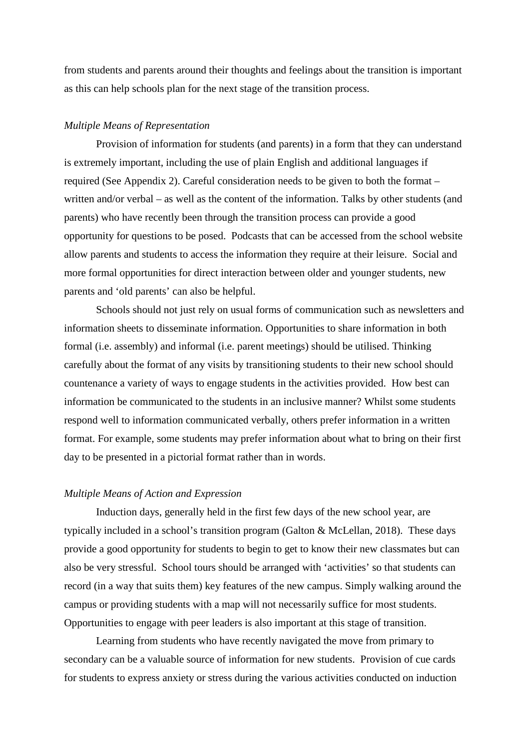from students and parents around their thoughts and feelings about the transition is important as this can help schools plan for the next stage of the transition process.

#### *Multiple Means of Representation*

Provision of information for students (and parents) in a form that they can understand is extremely important, including the use of plain English and additional languages if required (See Appendix 2). Careful consideration needs to be given to both the format – written and/or verbal – as well as the content of the information. Talks by other students (and parents) who have recently been through the transition process can provide a good opportunity for questions to be posed. Podcasts that can be accessed from the school website allow parents and students to access the information they require at their leisure. Social and more formal opportunities for direct interaction between older and younger students, new parents and 'old parents' can also be helpful.

Schools should not just rely on usual forms of communication such as newsletters and information sheets to disseminate information. Opportunities to share information in both formal (i.e. assembly) and informal (i.e. parent meetings) should be utilised. Thinking carefully about the format of any visits by transitioning students to their new school should countenance a variety of ways to engage students in the activities provided. How best can information be communicated to the students in an inclusive manner? Whilst some students respond well to information communicated verbally, others prefer information in a written format. For example, some students may prefer information about what to bring on their first day to be presented in a pictorial format rather than in words.

#### *Multiple Means of Action and Expression*

Induction days, generally held in the first few days of the new school year, are typically included in a school's transition program (Galton & McLellan, 2018). These days provide a good opportunity for students to begin to get to know their new classmates but can also be very stressful. School tours should be arranged with 'activities' so that students can record (in a way that suits them) key features of the new campus. Simply walking around the campus or providing students with a map will not necessarily suffice for most students. Opportunities to engage with peer leaders is also important at this stage of transition.

Learning from students who have recently navigated the move from primary to secondary can be a valuable source of information for new students. Provision of cue cards for students to express anxiety or stress during the various activities conducted on induction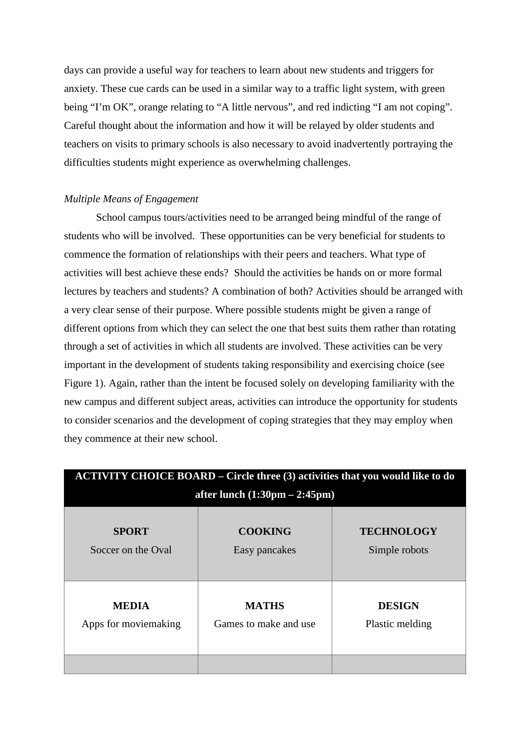days can provide a useful way for teachers to learn about new students and triggers for anxiety. These cue cards can be used in a similar way to a traffic light system, with green being "I'm OK", orange relating to "A little nervous", and red indicting "I am not coping". Careful thought about the information and how it will be relayed by older students and teachers on visits to primary schools is also necessary to avoid inadvertently portraying the difficulties students might experience as overwhelming challenges.

### *Multiple Means of Engagement*

School campus tours/activities need to be arranged being mindful of the range of students who will be involved. These opportunities can be very beneficial for students to commence the formation of relationships with their peers and teachers. What type of activities will best achieve these ends? Should the activities be hands on or more formal lectures by teachers and students? A combination of both? Activities should be arranged with a very clear sense of their purpose. Where possible students might be given a range of different options from which they can select the one that best suits them rather than rotating through a set of activities in which all students are involved. These activities can be very important in the development of students taking responsibility and exercising choice (see Figure 1). Again, rather than the intent be focused solely on developing familiarity with the new campus and different subject areas, activities can introduce the opportunity for students to consider scenarios and the development of coping strategies that they may employ when they commence at their new school.

| <b>ACTIVITY CHOICE BOARD – Circle three (3) activities that you would like to do</b> |                                       |                                    |  |
|--------------------------------------------------------------------------------------|---------------------------------------|------------------------------------|--|
| after lunch $(1:30 \text{pm} - 2:45 \text{pm})$                                      |                                       |                                    |  |
| <b>SPORT</b><br>Soccer on the Oval                                                   | <b>COOKING</b><br>Easy pancakes       | <b>TECHNOLOGY</b><br>Simple robots |  |
| <b>MEDIA</b><br>Apps for moviemaking                                                 | <b>MATHS</b><br>Games to make and use | <b>DESIGN</b><br>Plastic melding   |  |
|                                                                                      |                                       |                                    |  |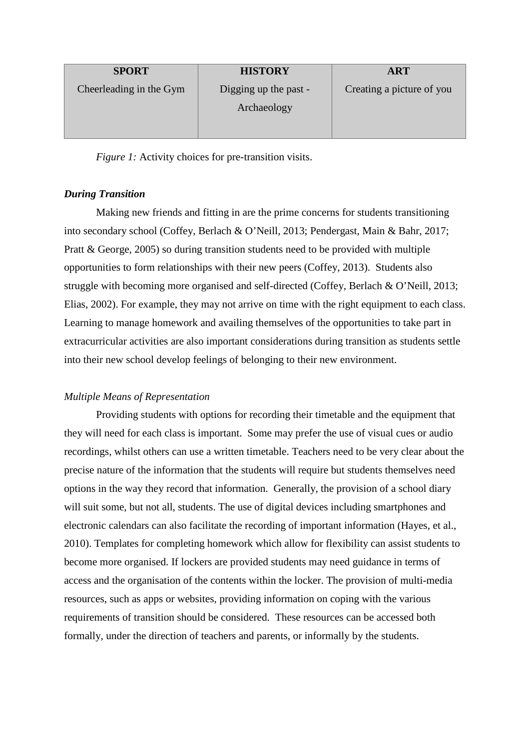| <b>SPORT</b>            | <b>HISTORY</b>                       | <b>ART</b>                |
|-------------------------|--------------------------------------|---------------------------|
| Cheerleading in the Gym | Digging up the past -<br>Archaeology | Creating a picture of you |

*Figure 1:* Activity choices for pre-transition visits.

## *During Transition*

Making new friends and fitting in are the prime concerns for students transitioning into secondary school (Coffey, Berlach & O'Neill, 2013; Pendergast, Main & Bahr, 2017; Pratt & George, 2005) so during transition students need to be provided with multiple opportunities to form relationships with their new peers (Coffey, 2013). Students also struggle with becoming more organised and self-directed (Coffey, Berlach & O'Neill, 2013; Elias, 2002). For example, they may not arrive on time with the right equipment to each class. Learning to manage homework and availing themselves of the opportunities to take part in extracurricular activities are also important considerations during transition as students settle into their new school develop feelings of belonging to their new environment.

## *Multiple Means of Representation*

Providing students with options for recording their timetable and the equipment that they will need for each class is important. Some may prefer the use of visual cues or audio recordings, whilst others can use a written timetable. Teachers need to be very clear about the precise nature of the information that the students will require but students themselves need options in the way they record that information. Generally, the provision of a school diary will suit some, but not all, students. The use of digital devices including smartphones and electronic calendars can also facilitate the recording of important information (Hayes, et al., 2010). Templates for completing homework which allow for flexibility can assist students to become more organised. If lockers are provided students may need guidance in terms of access and the organisation of the contents within the locker. The provision of multi-media resources, such as apps or websites, providing information on coping with the various requirements of transition should be considered. These resources can be accessed both formally, under the direction of teachers and parents, or informally by the students.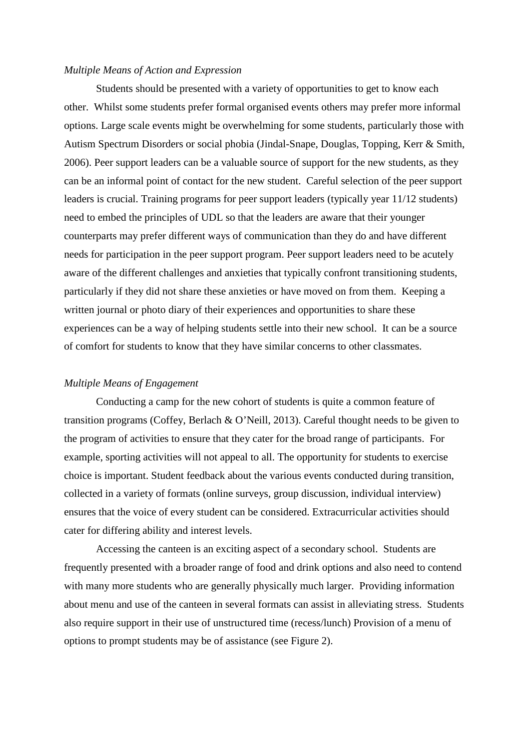#### *Multiple Means of Action and Expression*

Students should be presented with a variety of opportunities to get to know each other. Whilst some students prefer formal organised events others may prefer more informal options. Large scale events might be overwhelming for some students, particularly those with Autism Spectrum Disorders or social phobia (Jindal-Snape, Douglas, Topping, Kerr & Smith, 2006). Peer support leaders can be a valuable source of support for the new students, as they can be an informal point of contact for the new student. Careful selection of the peer support leaders is crucial. Training programs for peer support leaders (typically year 11/12 students) need to embed the principles of UDL so that the leaders are aware that their younger counterparts may prefer different ways of communication than they do and have different needs for participation in the peer support program. Peer support leaders need to be acutely aware of the different challenges and anxieties that typically confront transitioning students, particularly if they did not share these anxieties or have moved on from them. Keeping a written journal or photo diary of their experiences and opportunities to share these experiences can be a way of helping students settle into their new school. It can be a source of comfort for students to know that they have similar concerns to other classmates.

#### *Multiple Means of Engagement*

Conducting a camp for the new cohort of students is quite a common feature of transition programs (Coffey, Berlach & O'Neill, 2013). Careful thought needs to be given to the program of activities to ensure that they cater for the broad range of participants. For example, sporting activities will not appeal to all. The opportunity for students to exercise choice is important. Student feedback about the various events conducted during transition, collected in a variety of formats (online surveys, group discussion, individual interview) ensures that the voice of every student can be considered. Extracurricular activities should cater for differing ability and interest levels.

Accessing the canteen is an exciting aspect of a secondary school. Students are frequently presented with a broader range of food and drink options and also need to contend with many more students who are generally physically much larger. Providing information about menu and use of the canteen in several formats can assist in alleviating stress. Students also require support in their use of unstructured time (recess/lunch) Provision of a menu of options to prompt students may be of assistance (see Figure 2).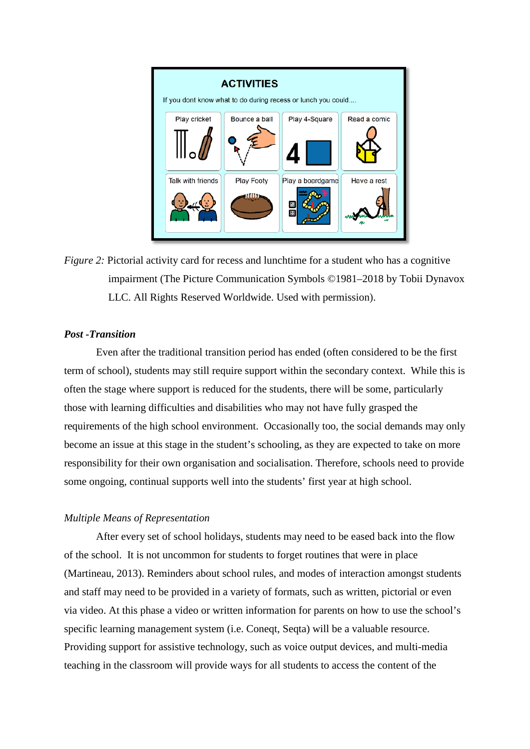

*Figure 2:* Pictorial activity card for recess and lunchtime for a student who has a cognitive impairment (The Picture Communication Symbols ©1981–2018 by Tobii Dynavox LLC. All Rights Reserved Worldwide. Used with permission).

#### *Post -Transition*

Even after the traditional transition period has ended (often considered to be the first term of school), students may still require support within the secondary context. While this is often the stage where support is reduced for the students, there will be some, particularly those with learning difficulties and disabilities who may not have fully grasped the requirements of the high school environment. Occasionally too, the social demands may only become an issue at this stage in the student's schooling, as they are expected to take on more responsibility for their own organisation and socialisation. Therefore, schools need to provide some ongoing, continual supports well into the students' first year at high school.

### *Multiple Means of Representation*

After every set of school holidays, students may need to be eased back into the flow of the school. It is not uncommon for students to forget routines that were in place (Martineau, 2013). Reminders about school rules, and modes of interaction amongst students and staff may need to be provided in a variety of formats, such as written, pictorial or even via video. At this phase a video or written information for parents on how to use the school's specific learning management system (i.e. Coneqt, Seqta) will be a valuable resource. Providing support for assistive technology, such as voice output devices, and multi-media teaching in the classroom will provide ways for all students to access the content of the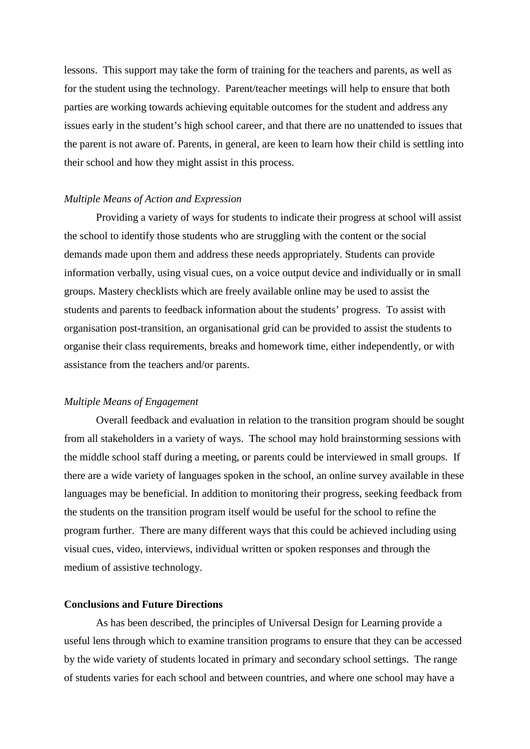lessons. This support may take the form of training for the teachers and parents, as well as for the student using the technology. Parent/teacher meetings will help to ensure that both parties are working towards achieving equitable outcomes for the student and address any issues early in the student's high school career, and that there are no unattended to issues that the parent is not aware of. Parents, in general, are keen to learn how their child is settling into their school and how they might assist in this process.

#### *Multiple Means of Action and Expression*

Providing a variety of ways for students to indicate their progress at school will assist the school to identify those students who are struggling with the content or the social demands made upon them and address these needs appropriately. Students can provide information verbally, using visual cues, on a voice output device and individually or in small groups. Mastery checklists which are freely available online may be used to assist the students and parents to feedback information about the students' progress. To assist with organisation post-transition, an organisational grid can be provided to assist the students to organise their class requirements, breaks and homework time, either independently, or with assistance from the teachers and/or parents.

#### *Multiple Means of Engagement*

Overall feedback and evaluation in relation to the transition program should be sought from all stakeholders in a variety of ways. The school may hold brainstorming sessions with the middle school staff during a meeting, or parents could be interviewed in small groups. If there are a wide variety of languages spoken in the school, an online survey available in these languages may be beneficial. In addition to monitoring their progress, seeking feedback from the students on the transition program itself would be useful for the school to refine the program further. There are many different ways that this could be achieved including using visual cues, video, interviews, individual written or spoken responses and through the medium of assistive technology.

#### **Conclusions and Future Directions**

As has been described, the principles of Universal Design for Learning provide a useful lens through which to examine transition programs to ensure that they can be accessed by the wide variety of students located in primary and secondary school settings. The range of students varies for each school and between countries, and where one school may have a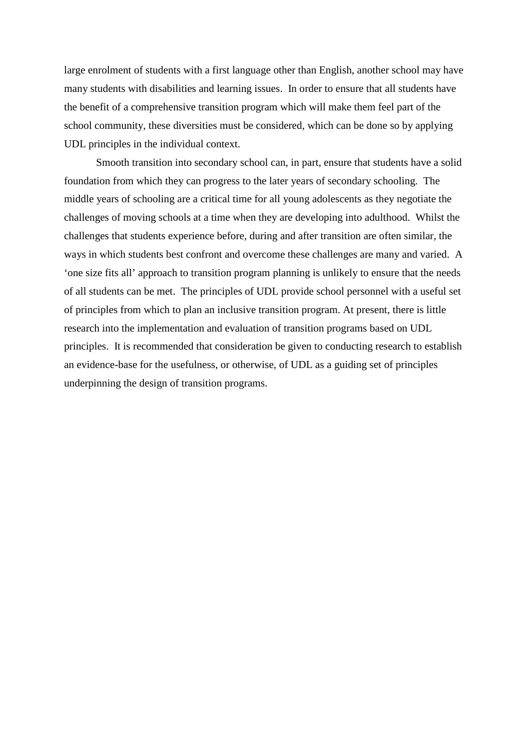large enrolment of students with a first language other than English, another school may have many students with disabilities and learning issues. In order to ensure that all students have the benefit of a comprehensive transition program which will make them feel part of the school community, these diversities must be considered, which can be done so by applying UDL principles in the individual context.

Smooth transition into secondary school can, in part, ensure that students have a solid foundation from which they can progress to the later years of secondary schooling. The middle years of schooling are a critical time for all young adolescents as they negotiate the challenges of moving schools at a time when they are developing into adulthood. Whilst the challenges that students experience before, during and after transition are often similar, the ways in which students best confront and overcome these challenges are many and varied. A 'one size fits all' approach to transition program planning is unlikely to ensure that the needs of all students can be met. The principles of UDL provide school personnel with a useful set of principles from which to plan an inclusive transition program. At present, there is little research into the implementation and evaluation of transition programs based on UDL principles. It is recommended that consideration be given to conducting research to establish an evidence-base for the usefulness, or otherwise, of UDL as a guiding set of principles underpinning the design of transition programs.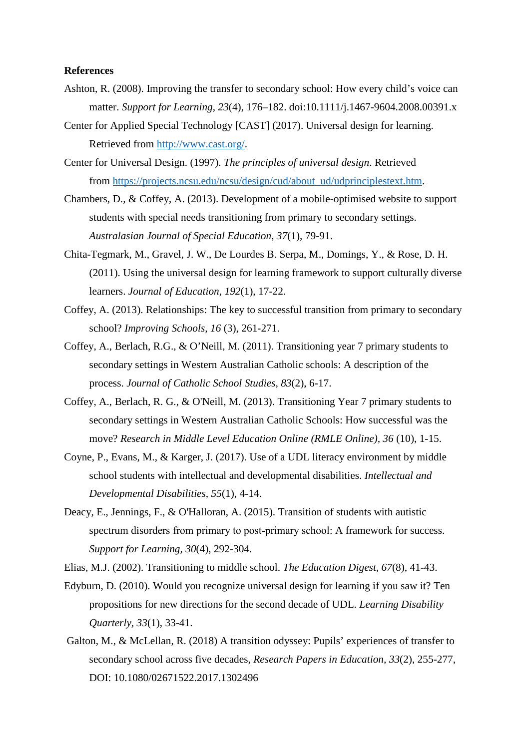#### **References**

- Ashton, R. (2008). Improving the transfer to secondary school: How every child's voice can matter. *Support for Learning, 23*(4), 176–182. doi:10.1111/j.1467-9604.2008.00391.x
- Center for Applied Special Technology [CAST] (2017). Universal design for learning. Retrieved from [http://www.cast.org/.](http://www.cast.org/)
- Center for Universal Design. (1997). *The principles of universal design*. Retrieved from [https://projects.ncsu.edu/ncsu/design/cud/about\\_ud/udprinciplestext.htm.](https://projects.ncsu.edu/ncsu/design/cud/about_ud/udprinciplestext.htm)
- Chambers, D., & Coffey, A. (2013). Development of a mobile-optimised website to support students with special needs transitioning from primary to secondary settings. *Australasian Journal of Special Education, 37*(1), 79-91.
- Chita-Tegmark, M., Gravel, J. W., De Lourdes B. Serpa, M., Domings, Y., & Rose, D. H. (2011). Using the universal design for learning framework to support culturally diverse learners. *Journal of Education, 192*(1), 17-22.
- Coffey, A. (2013). Relationships: The key to successful transition from primary to secondary school? *Improving Schools, 16* (3), 261-271.
- Coffey, A., Berlach, R.G., & O'Neill, M. (2011). Transitioning year 7 primary students to secondary settings in Western Australian Catholic schools: A description of the process. *Journal of Catholic School Studies, 83*(2), 6-17.
- Coffey, A., Berlach, R. G., & O'Neill, M. (2013). Transitioning Year 7 primary students to secondary settings in Western Australian Catholic Schools: How successful was the move? *Research in Middle Level Education Online (RMLE Online), 36* (10), 1-15.
- Coyne, P., Evans, M., & Karger, J. (2017). Use of a UDL literacy environment by middle school students with intellectual and developmental disabilities. *Intellectual and Developmental Disabilities, 55*(1), 4-14.
- Deacy, E., Jennings, F., & O'Halloran, A. (2015). Transition of students with autistic spectrum disorders from primary to post-primary school: A framework for success. *Support for Learning, 30*(4), 292-304.
- Elias, M.J. (2002). Transitioning to middle school. *The Education Digest, 67*(8), 41-43.
- Edyburn, D. (2010). Would you recognize universal design for learning if you saw it? Ten propositions for new directions for the second decade of UDL. *Learning Disability Quarterly, 33*(1), 33-41.
- Galton, M., & McLellan, R. (2018) A transition odyssey: Pupils' experiences of transfer to secondary school across five decades, *Research Papers in Education, 33*(2), 255-277, DOI: 10.1080/02671522.2017.1302496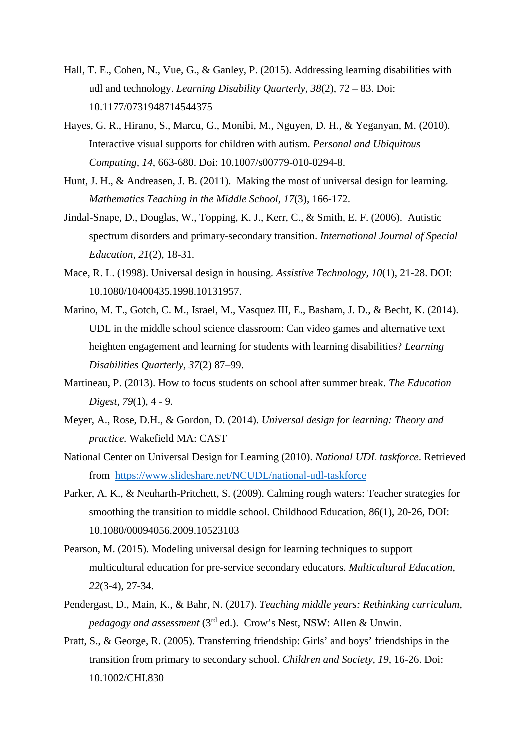- Hall, T. E., Cohen, N., Vue, G., & Ganley, P. (2015). Addressing learning disabilities with udl and technology. *Learning Disability Quarterly, 38*(2), 72 – 83. Doi: 10.1177/0731948714544375
- Hayes, G. R., Hirano, S., Marcu, G., Monibi, M., Nguyen, D. H., & Yeganyan, M. (2010). Interactive visual supports for children with autism. *Personal and Ubiquitous Computing, 14*, 663-680. Doi: 10.1007/s00779-010-0294-8.
- Hunt, J. H., & Andreasen, J. B. (2011). Making the most of universal design for learning. *Mathematics Teaching in the Middle School, 17*(3), 166-172.
- Jindal-Snape, D., Douglas, W., Topping, K. J., Kerr, C., & Smith, E. F. (2006). Autistic spectrum disorders and primary-secondary transition. *International Journal of Special Education, 21*(2), 18-31.
- Mace, R. L. (1998). Universal design in housing. *Assistive Technology, 10*(1), 21-28. DOI: 10.1080/10400435.1998.10131957.
- Marino, M. T., Gotch, C. M., Israel, M., Vasquez III, E., Basham, J. D., & Becht, K. (2014). UDL in the middle school science classroom: Can video games and alternative text heighten engagement and learning for students with learning disabilities? *Learning Disabilities Quarterly, 37*(2) 87–99.
- Martineau, P. (2013). How to focus students on school after summer break. *The Education Digest, 79*(1), 4 - 9.
- Meyer, A., Rose, D.H., & Gordon, D. (2014). *Universal design for learning: Theory and practice.* Wakefield MA: CAST
- National Center on Universal Design for Learning (2010). *National UDL taskforce*. Retrieved from <https://www.slideshare.net/NCUDL/national-udl-taskforce>
- Parker, A. K., & Neuharth-Pritchett, S. (2009). Calming rough waters: Teacher strategies for smoothing the transition to middle school. Childhood Education, 86(1), 20-26, DOI: 10.1080/00094056.2009.10523103
- Pearson, M. (2015). Modeling universal design for learning techniques to support multicultural education for pre-service secondary educators. *Multicultural Education, 22*(3-4), 27-34.
- Pendergast, D., Main, K., & Bahr, N. (2017). *Teaching middle years: Rethinking curriculum, pedagogy and assessment* (3rd ed.). Crow's Nest, NSW: Allen & Unwin.
- Pratt, S., & George, R. (2005). Transferring friendship: Girls' and boys' friendships in the transition from primary to secondary school. *Children and Society, 19*, 16-26. Doi: 10.1002/CHI.830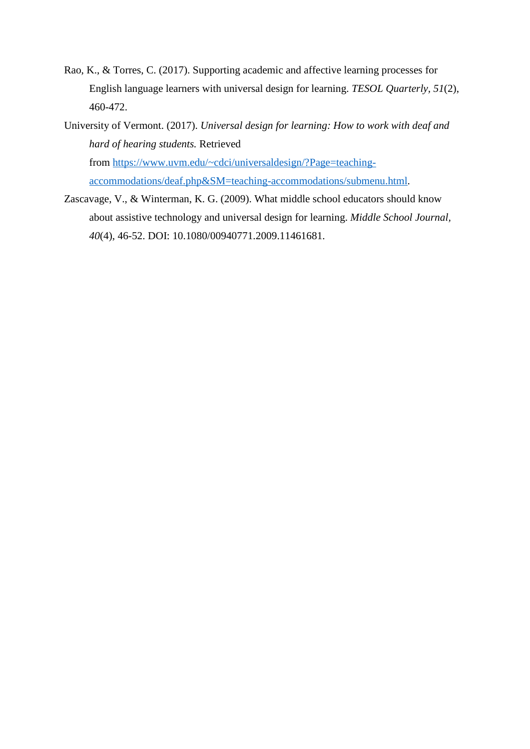- Rao, K., & Torres, C. (2017). Supporting academic and affective learning processes for English language learners with universal design for learning. *TESOL Quarterly, 51*(2), 460-472.
- University of Vermont. (2017). *Universal design for learning: How to work with deaf and hard of hearing students.* Retrieved from [https://www.uvm.edu/~cdci/universaldesign/?Page=teaching](https://www.uvm.edu/%7Ecdci/universaldesign/?Page=teaching-accommodations/deaf.php&SM=teaching-accommodations/submenu.html)[accommodations/deaf.php&SM=teaching-accommodations/submenu.html.](https://www.uvm.edu/%7Ecdci/universaldesign/?Page=teaching-accommodations/deaf.php&SM=teaching-accommodations/submenu.html)
- Zascavage, V., & Winterman, K. G. (2009). What middle school educators should know about assistive technology and universal design for learning. *Middle School Journal, 40*(4), 46-52. DOI: 10.1080/00940771.2009.11461681.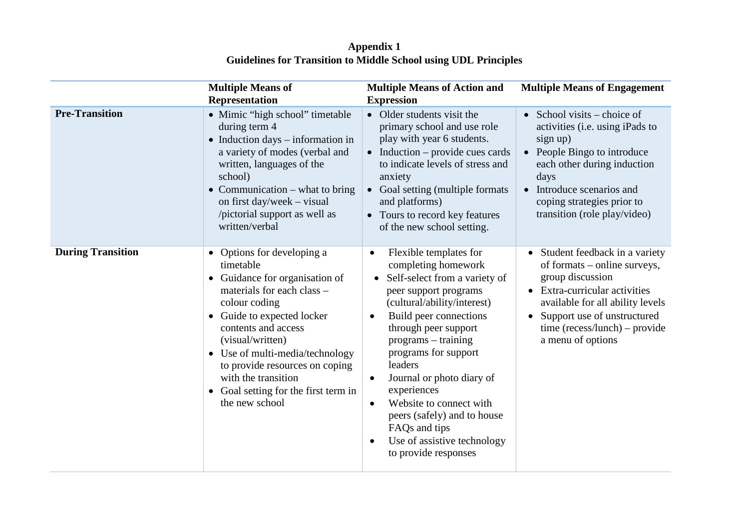| Appendix 1                                                             |  |
|------------------------------------------------------------------------|--|
| <b>Guidelines for Transition to Middle School using UDL Principles</b> |  |

|                          | <b>Multiple Means of</b><br><b>Representation</b>                                                                                                                                                                                                                                                                                                       | <b>Multiple Means of Action and</b><br><b>Expression</b>                                                                                                                                                                                                                                                                                                                                                                                                                                            | <b>Multiple Means of Engagement</b>                                                                                                                                                                                                                            |
|--------------------------|---------------------------------------------------------------------------------------------------------------------------------------------------------------------------------------------------------------------------------------------------------------------------------------------------------------------------------------------------------|-----------------------------------------------------------------------------------------------------------------------------------------------------------------------------------------------------------------------------------------------------------------------------------------------------------------------------------------------------------------------------------------------------------------------------------------------------------------------------------------------------|----------------------------------------------------------------------------------------------------------------------------------------------------------------------------------------------------------------------------------------------------------------|
| <b>Pre-Transition</b>    | • Mimic "high school" timetable<br>during term 4<br>$\bullet$ Induction days – information in<br>a variety of modes (verbal and<br>written, languages of the<br>school)<br>• Communication – what to bring<br>on first day/week – visual<br>/pictorial support as well as<br>written/verbal                                                             | • Older students visit the<br>primary school and use role<br>play with year 6 students.<br>$\bullet$ Induction – provide cues cards<br>to indicate levels of stress and<br>anxiety<br>• Goal setting (multiple formats<br>and platforms)<br>• Tours to record key features<br>of the new school setting.                                                                                                                                                                                            | • School visits – choice of<br>activities ( <i>i.e.</i> using <i>iPads</i> to<br>sign up)<br>• People Bingo to introduce<br>each other during induction<br>days<br>Introduce scenarios and<br>coping strategies prior to<br>transition (role play/video)       |
| <b>During Transition</b> | • Options for developing a<br>timetable<br>• Guidance for organisation of<br>materials for each class -<br>colour coding<br>• Guide to expected locker<br>contents and access<br>(visual/written)<br>• Use of multi-media/technology<br>to provide resources on coping<br>with the transition<br>• Goal setting for the first term in<br>the new school | Flexible templates for<br>$\bullet$<br>completing homework<br>Self-select from a variety of<br>peer support programs<br>(cultural/ability/interest)<br>Build peer connections<br>$\bullet$<br>through peer support<br>$programs - training$<br>programs for support<br>leaders<br>Journal or photo diary of<br>$\bullet$<br>experiences<br>Website to connect with<br>$\bullet$<br>peers (safely) and to house<br>FAQs and tips<br>Use of assistive technology<br>$\bullet$<br>to provide responses | • Student feedback in a variety<br>of formats – online surveys,<br>group discussion<br>• Extra-curricular activities<br>available for all ability levels<br>Support use of unstructured<br>$\bullet$<br>time ( $recess/lunch$ ) – provide<br>a menu of options |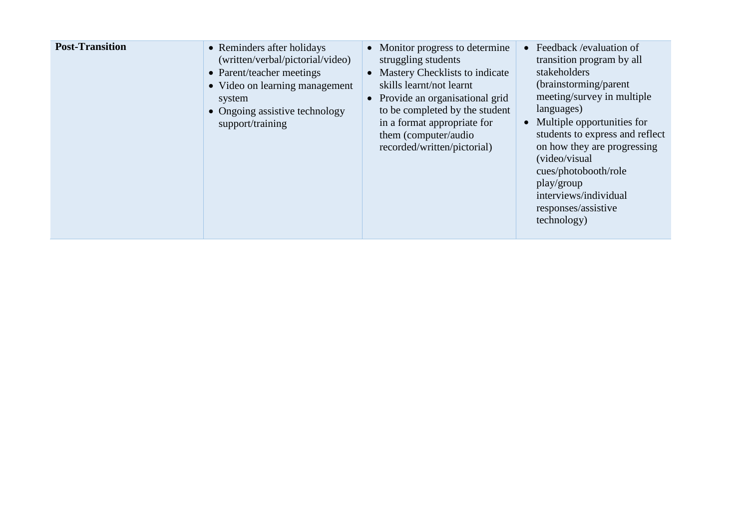| <b>Post-Transition</b> | • Reminders after holidays<br>(written/verbal/pictorial/video)<br>• Parent/teacher meetings<br>• Video on learning management<br>system<br>• Ongoing assistive technology<br>support/training | • Monitor progress to determine<br>struggling students<br><b>Mastery Checklists to indicate</b><br>$\bullet$<br>skills learnt/not learnt<br>• Provide an organisational grid<br>to be completed by the student<br>in a format appropriate for<br>them (computer/audio)<br>recorded/written/pictorial) | Feedback / evaluation of<br>transition program by all<br>stakeholders<br>(brainstorming/parent<br>meeting/survey in multiple<br>languages)<br>• Multiple opportunities for<br>students to express and reflect<br>on how they are progressing<br>(video/visual)<br>cues/photobooth/role<br>play/group<br>interviews/individual<br>responses/assistive<br>technology) |
|------------------------|-----------------------------------------------------------------------------------------------------------------------------------------------------------------------------------------------|-------------------------------------------------------------------------------------------------------------------------------------------------------------------------------------------------------------------------------------------------------------------------------------------------------|---------------------------------------------------------------------------------------------------------------------------------------------------------------------------------------------------------------------------------------------------------------------------------------------------------------------------------------------------------------------|
|------------------------|-----------------------------------------------------------------------------------------------------------------------------------------------------------------------------------------------|-------------------------------------------------------------------------------------------------------------------------------------------------------------------------------------------------------------------------------------------------------------------------------------------------------|---------------------------------------------------------------------------------------------------------------------------------------------------------------------------------------------------------------------------------------------------------------------------------------------------------------------------------------------------------------------|